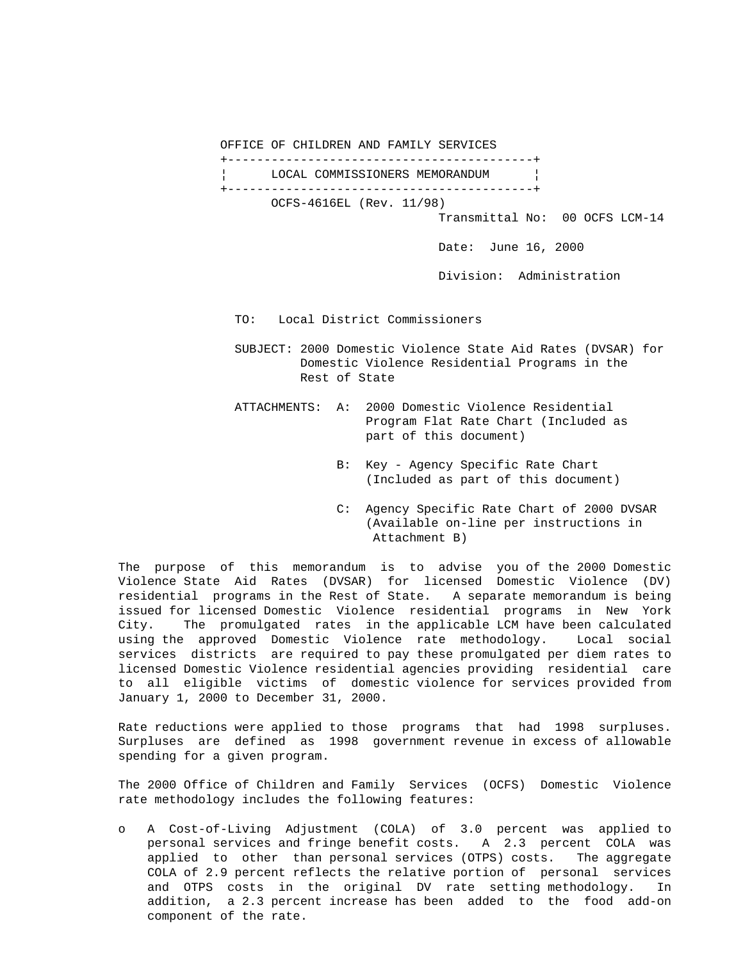OFFICE OF CHILDREN AND FAMILY SERVICES

 +------------------------------------------+ LOCAL COMMISSIONERS MEMORANDUM +------------------------------------------+ OCFS-4616EL (Rev. 11/98)

Transmittal No: 00 OCFS LCM-14

Date: June 16, 2000

Division: Administration

TO: Local District Commissioners

 SUBJECT: 2000 Domestic Violence State Aid Rates (DVSAR) for Domestic Violence Residential Programs in the Rest of State

- ATTACHMENTS: A: 2000 Domestic Violence Residential Program Flat Rate Chart (Included as part of this document)
	- B: Key Agency Specific Rate Chart (Included as part of this document)
	- C: Agency Specific Rate Chart of 2000 DVSAR (Available on-line per instructions in Attachment B)

The purpose of this memorandum is to advise you of the 2000 Domestic Violence State Aid Rates (DVSAR) for licensed Domestic Violence (DV) residential programs in the Rest of State. A separate memorandum is being issued for licensed Domestic Violence residential programs in New York City. The promulgated rates in the applicable LCM have been calculated using the approved Domestic Violence rate methodology. Local social services districts are required to pay these promulgated per diem rates to licensed Domestic Violence residential agencies providing residential care to all eligible victims of domestic violence for services provided from January 1, 2000 to December 31, 2000.

Rate reductions were applied to those programs that had 1998 surpluses. Surpluses are defined as 1998 government revenue in excess of allowable spending for a given program.

The 2000 Office of Children and Family Services (OCFS) Domestic Violence rate methodology includes the following features:

o A Cost-of-Living Adjustment (COLA) of 3.0 percent was applied to personal services and fringe benefit costs. A 2.3 percent COLA was applied to other than personal services (OTPS) costs. The aggregate COLA of 2.9 percent reflects the relative portion of personal services and OTPS costs in the original DV rate setting methodology. In addition, a 2.3 percent increase has been added to the food add-on component of the rate.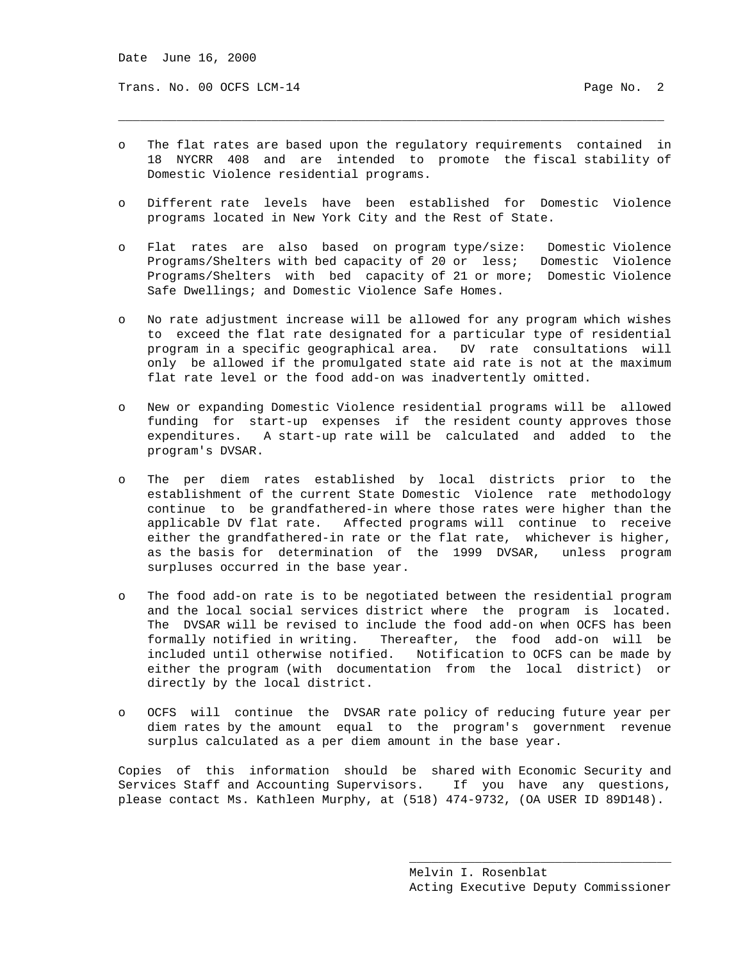Trans. No. 00 OCFS LCM-14 Page No. 2

o The flat rates are based upon the regulatory requirements contained in 18 NYCRR 408 and are intended to promote the fiscal stability of Domestic Violence residential programs.

\_\_\_\_\_\_\_\_\_\_\_\_\_\_\_\_\_\_\_\_\_\_\_\_\_\_\_\_\_\_\_\_\_\_\_\_\_\_\_\_\_\_\_\_\_\_\_\_\_\_\_\_\_\_\_\_\_\_\_\_\_\_\_\_\_\_\_\_\_\_\_\_\_\_\_

- o Different rate levels have been established for Domestic Violence programs located in New York City and the Rest of State.
- o Flat rates are also based on program type/size: Domestic Violence Programs/Shelters with bed capacity of 20 or less; Domestic Violence Programs/Shelters with bed capacity of 21 or more; Domestic Violence Safe Dwellings; and Domestic Violence Safe Homes.
- o No rate adjustment increase will be allowed for any program which wishes to exceed the flat rate designated for a particular type of residential program in a specific geographical area. DV rate consultations will only be allowed if the promulgated state aid rate is not at the maximum flat rate level or the food add-on was inadvertently omitted.
- o New or expanding Domestic Violence residential programs will be allowed funding for start-up expenses if the resident county approves those expenditures. A start-up rate will be calculated and added to the program's DVSAR.
- o The per diem rates established by local districts prior to the establishment of the current State Domestic Violence rate methodology continue to be grandfathered-in where those rates were higher than the applicable DV flat rate. Affected programs will continue to receive either the grandfathered-in rate or the flat rate, whichever is higher, as the basis for determination of the 1999 DVSAR, unless program surpluses occurred in the base year.
- o The food add-on rate is to be negotiated between the residential program and the local social services district where the program is located. The DVSAR will be revised to include the food add-on when OCFS has been formally notified in writing. Thereafter, the food add-on will be included until otherwise notified. Notification to OCFS can be made by either the program (with documentation from the local district) or directly by the local district.
- o OCFS will continue the DVSAR rate policy of reducing future year per diem rates by the amount equal to the program's government revenue surplus calculated as a per diem amount in the base year.

Copies of this information should be shared with Economic Security and Services Staff and Accounting Supervisors. If you have any questions, please contact Ms. Kathleen Murphy, at (518) 474-9732, (OA USER ID 89D148).

 $\overline{\phantom{a}}$  , and the contract of the contract of the contract of the contract of the contract of the contract of the contract of the contract of the contract of the contract of the contract of the contract of the contrac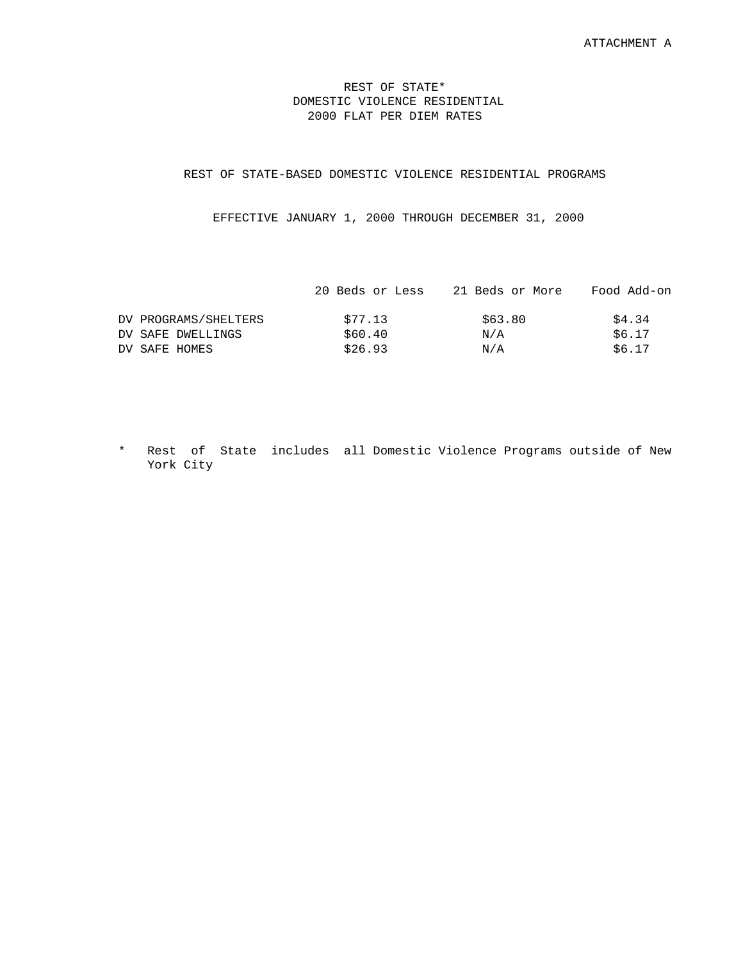## REST OF STATE\* DOMESTIC VIOLENCE RESIDENTIAL 2000 FLAT PER DIEM RATES

## REST OF STATE-BASED DOMESTIC VIOLENCE RESIDENTIAL PROGRAMS

EFFECTIVE JANUARY 1, 2000 THROUGH DECEMBER 31, 2000

|                      | 20 Beds or Less | 21 Beds or More | Food Add-on |
|----------------------|-----------------|-----------------|-------------|
| DV PROGRAMS/SHELTERS | \$77.13         | \$63.80         | \$4.34      |
| DV SAFE DWELLINGS    | \$60.40         | N/A             | \$6.17      |
| DV SAFE HOMES        | \$26.93         | N/A             | \$6.17      |
|                      |                 |                 |             |

\* Rest of State includes all Domestic Violence Programs outside of New York City